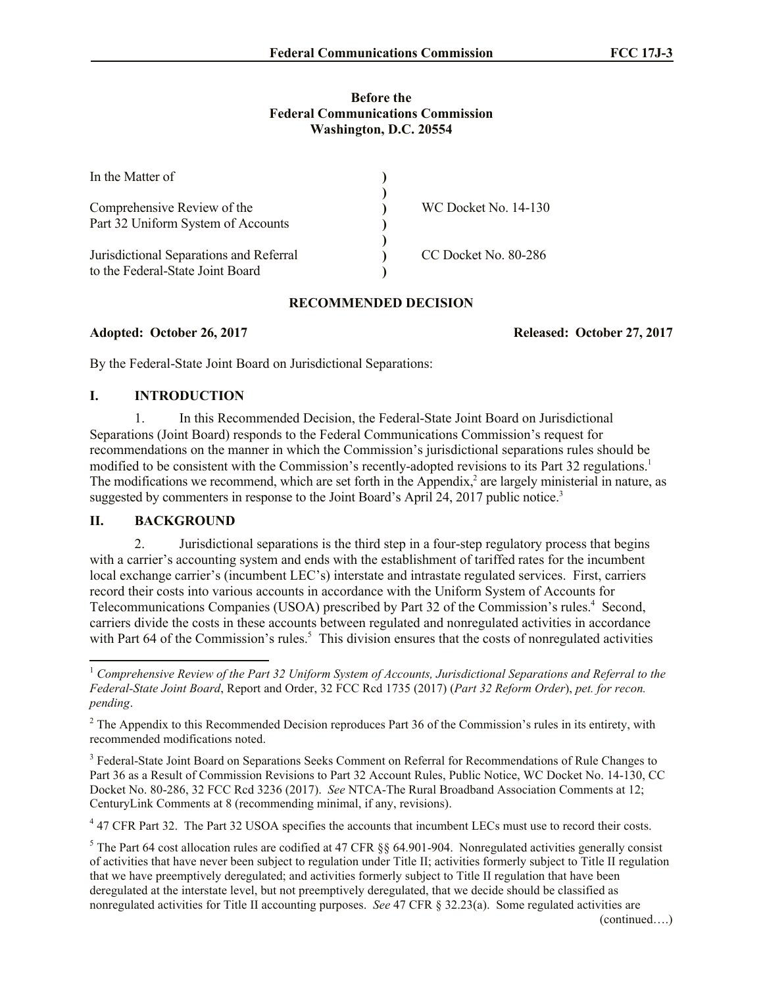#### **Before the Federal Communications Commission Washington, D.C. 20554**

| In the Matter of                                                            |                             |
|-----------------------------------------------------------------------------|-----------------------------|
| Comprehensive Review of the<br>Part 32 Uniform System of Accounts           | <b>WC Docket No. 14-130</b> |
| Jurisdictional Separations and Referral<br>to the Federal-State Joint Board | CC Docket No. 80-286        |

### **RECOMMENDED DECISION**

**Adopted: October 26, 2017 Released: October 27, 2017**

By the Federal-State Joint Board on Jurisdictional Separations:

### **I. INTRODUCTION**

1. In this Recommended Decision, the Federal-State Joint Board on Jurisdictional Separations (Joint Board) responds to the Federal Communications Commission's request for recommendations on the manner in which the Commission's jurisdictional separations rules should be modified to be consistent with the Commission's recently-adopted revisions to its Part 32 regulations.<sup>1</sup> The modifications we recommend, which are set forth in the Appendix,<sup>2</sup> are largely ministerial in nature, as suggested by commenters in response to the Joint Board's April 24, 2017 public notice.<sup>3</sup>

# **II. BACKGROUND**

 $\overline{\phantom{a}}$ 

2. Jurisdictional separations is the third step in a four-step regulatory process that begins with a carrier's accounting system and ends with the establishment of tariffed rates for the incumbent local exchange carrier's (incumbent LEC's) interstate and intrastate regulated services. First, carriers record their costs into various accounts in accordance with the Uniform System of Accounts for Telecommunications Companies (USOA) prescribed by Part 32 of the Commission's rules.<sup>4</sup> Second, carriers divide the costs in these accounts between regulated and nonregulated activities in accordance with Part 64 of the Commission's rules.<sup>5</sup> This division ensures that the costs of nonregulated activities

<sup>4</sup> 47 CFR Part 32. The Part 32 USOA specifies the accounts that incumbent LECs must use to record their costs.

<sup>5</sup> The Part 64 cost allocation rules are codified at 47 CFR  $\S$ § 64.901-904. Nonregulated activities generally consist of activities that have never been subject to regulation under Title II; activities formerly subject to Title II regulation that we have preemptively deregulated; and activities formerly subject to Title II regulation that have been deregulated at the interstate level, but not preemptively deregulated, that we decide should be classified as nonregulated activities for Title II accounting purposes. *See* 47 CFR § 32.23(a). Some regulated activities are

<sup>1</sup> *Comprehensive Review of the Part 32 Uniform System of Accounts, Jurisdictional Separations and Referral to the Federal-State Joint Board*, Report and Order, 32 FCC Rcd 1735 (2017) (*Part 32 Reform Order*), *pet. for recon. pending*.

 $2$  The Appendix to this Recommended Decision reproduces Part 36 of the Commission's rules in its entirety, with recommended modifications noted.

<sup>&</sup>lt;sup>3</sup> Federal-State Joint Board on Separations Seeks Comment on Referral for Recommendations of Rule Changes to Part 36 as a Result of Commission Revisions to Part 32 Account Rules, Public Notice, WC Docket No. 14-130, CC Docket No. 80-286, 32 FCC Rcd 3236 (2017). *See* NTCA-The Rural Broadband Association Comments at 12; CenturyLink Comments at 8 (recommending minimal, if any, revisions).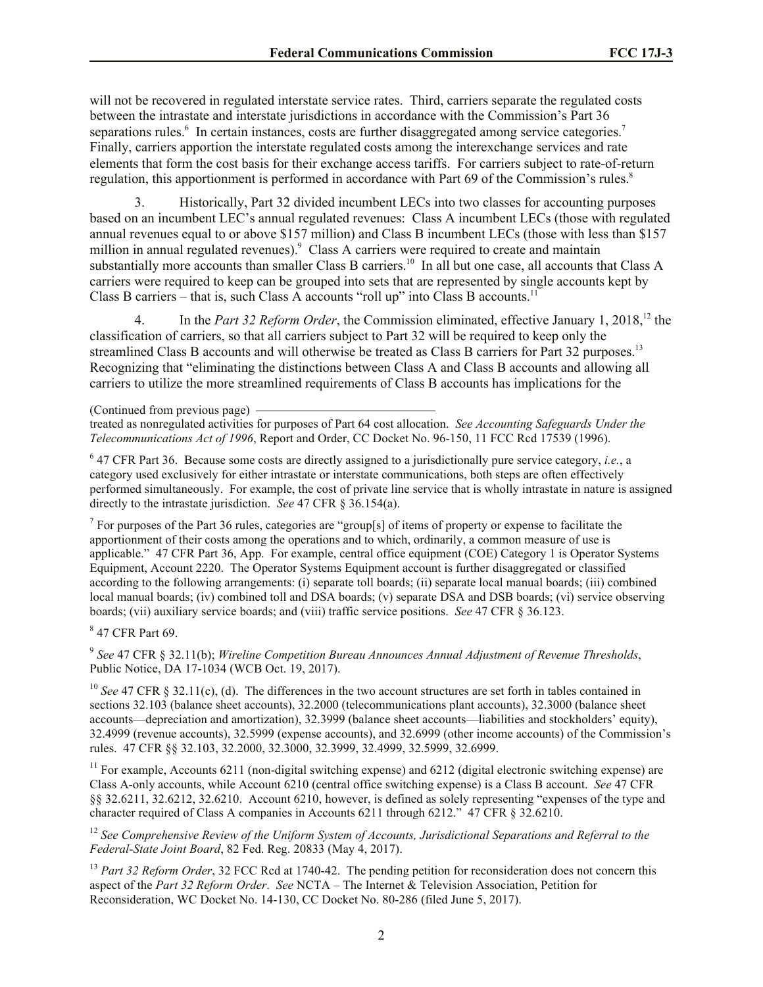will not be recovered in regulated interstate service rates. Third, carriers separate the regulated costs between the intrastate and interstate jurisdictions in accordance with the Commission's Part 36 separations rules.<sup>6</sup> In certain instances, costs are further disaggregated among service categories.<sup>7</sup> Finally, carriers apportion the interstate regulated costs among the interexchange services and rate elements that form the cost basis for their exchange access tariffs. For carriers subject to rate-of-return regulation, this apportionment is performed in accordance with Part 69 of the Commission's rules.<sup>8</sup>

3. Historically, Part 32 divided incumbent LECs into two classes for accounting purposes based on an incumbent LEC's annual regulated revenues: Class A incumbent LECs (those with regulated annual revenues equal to or above \$157 million) and Class B incumbent LECs (those with less than \$157 million in annual regulated revenues).<sup>9</sup> Class A carriers were required to create and maintain substantially more accounts than smaller Class B carriers.<sup>10</sup> In all but one case, all accounts that Class A carriers were required to keep can be grouped into sets that are represented by single accounts kept by Class B carriers – that is, such Class A accounts "roll up" into Class B accounts.<sup>11</sup>

4. In the *Part 32 Reform Order*, the Commission eliminated, effective January 1, 2018,<sup>12</sup> the classification of carriers, so that all carriers subject to Part 32 will be required to keep only the streamlined Class B accounts and will otherwise be treated as Class B carriers for Part 32 purposes.<sup>13</sup> Recognizing that "eliminating the distinctions between Class A and Class B accounts and allowing all carriers to utilize the more streamlined requirements of Class B accounts has implications for the

(Continued from previous page)

treated as nonregulated activities for purposes of Part 64 cost allocation. *See Accounting Safeguards Under the Telecommunications Act of 1996*, Report and Order, CC Docket No. 96-150, 11 FCC Rcd 17539 (1996).

6 47 CFR Part 36. Because some costs are directly assigned to a jurisdictionally pure service category, *i.e.*, a category used exclusively for either intrastate or interstate communications, both steps are often effectively performed simultaneously. For example, the cost of private line service that is wholly intrastate in nature is assigned directly to the intrastate jurisdiction. *See* 47 CFR § 36.154(a).

<sup>7</sup> For purposes of the Part 36 rules, categories are "group[s] of items of property or expense to facilitate the apportionment of their costs among the operations and to which, ordinarily, a common measure of use is applicable." 47 CFR Part 36, App. For example, central office equipment (COE) Category 1 is Operator Systems Equipment, Account 2220. The Operator Systems Equipment account is further disaggregated or classified according to the following arrangements: (i) separate toll boards; (ii) separate local manual boards; (iii) combined local manual boards; (iv) combined toll and DSA boards; (v) separate DSA and DSB boards; (vi) service observing boards; (vii) auxiliary service boards; and (viii) traffic service positions. *See* 47 CFR § 36.123.

8 47 CFR Part 69.

9 *See* 47 CFR § 32.11(b); *Wireline Competition Bureau Announces Annual Adjustment of Revenue Thresholds*, Public Notice, DA 17-1034 (WCB Oct. 19, 2017).

<sup>10</sup> *See* 47 CFR § 32.11(c), (d). The differences in the two account structures are set forth in tables contained in sections 32.103 (balance sheet accounts), 32.2000 (telecommunications plant accounts), 32.3000 (balance sheet accounts—depreciation and amortization), 32.3999 (balance sheet accounts—liabilities and stockholders' equity), 32.4999 (revenue accounts), 32.5999 (expense accounts), and 32.6999 (other income accounts) of the Commission's rules. 47 CFR §§ 32.103, 32.2000, 32.3000, 32.3999, 32.4999, 32.5999, 32.6999.

 $11$  For example, Accounts 6211 (non-digital switching expense) and 6212 (digital electronic switching expense) are Class A-only accounts, while Account 6210 (central office switching expense) is a Class B account. *See* 47 CFR §§ 32.6211, 32.6212, 32.6210. Account 6210, however, is defined as solely representing "expenses of the type and character required of Class A companies in Accounts 6211 through 6212." 47 CFR § 32.6210.

<sup>12</sup> *See Comprehensive Review of the Uniform System of Accounts, Jurisdictional Separations and Referral to the Federal-State Joint Board*, 82 Fed. Reg. 20833 (May 4, 2017).

<sup>13</sup> *Part 32 Reform Order*, 32 FCC Rcd at 1740-42. The pending petition for reconsideration does not concern this aspect of the *Part 32 Reform Order*. *See* NCTA – The Internet & Television Association, Petition for Reconsideration, WC Docket No. 14-130, CC Docket No. 80-286 (filed June 5, 2017).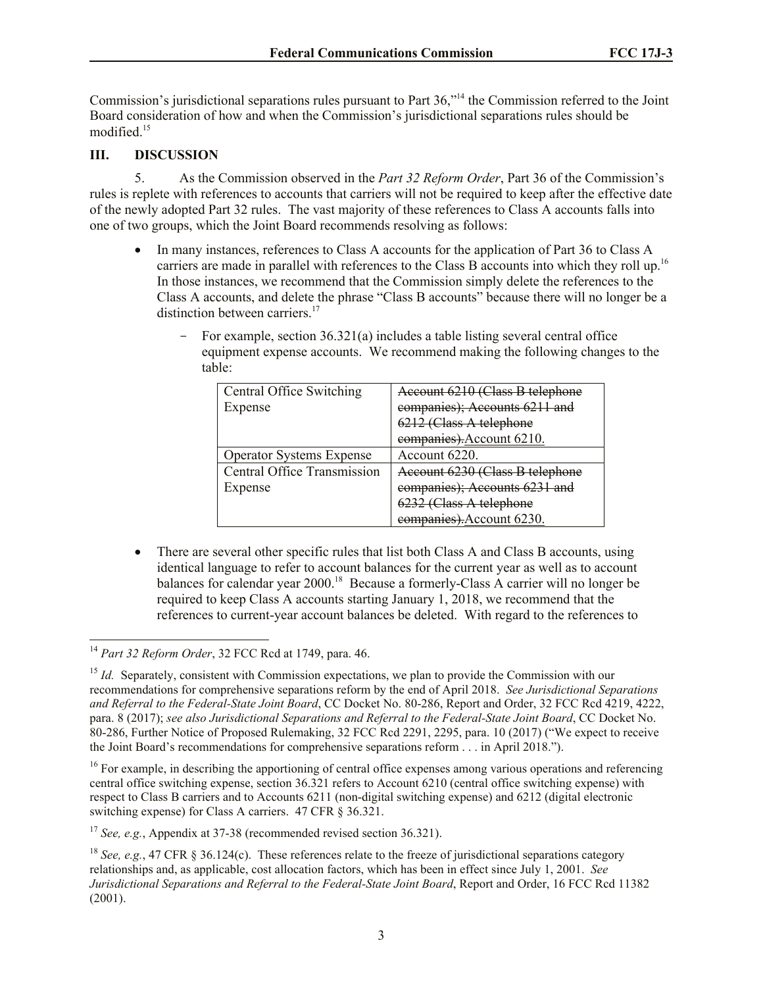Commission's jurisdictional separations rules pursuant to Part 36,"<sup>14</sup> the Commission referred to the Joint Board consideration of how and when the Commission's jurisdictional separations rules should be modified. 15

## **III. DISCUSSION**

5. As the Commission observed in the *Part 32 Reform Order*, Part 36 of the Commission's rules is replete with references to accounts that carriers will not be required to keep after the effective date of the newly adopted Part 32 rules. The vast majority of these references to Class A accounts falls into one of two groups, which the Joint Board recommends resolving as follows:

- In many instances, references to Class A accounts for the application of Part 36 to Class A carriers are made in parallel with references to the Class B accounts into which they roll up.<sup>16</sup> In those instances, we recommend that the Commission simply delete the references to the Class A accounts, and delete the phrase "Class B accounts" because there will no longer be a distinction between carriers.<sup>17</sup>
	- For example, section 36.321(a) includes a table listing several central office equipment expense accounts. We recommend making the following changes to the table:

| Central Office Switching        | Account 6210 (Class B telephone    |
|---------------------------------|------------------------------------|
| Expense                         | companies); Accounts 6211 and      |
|                                 | <del>6212 (Class A telephone</del> |
|                                 | companies). Account 6210.          |
| <b>Operator Systems Expense</b> | Account 6220.                      |
| Central Office Transmission     | Account 6230 (Class B telephone    |
| Expense                         | companies); Accounts 6231 and      |
|                                 | 232 (Class A telephone             |
|                                 | companies). Account 6230.          |

• There are several other specific rules that list both Class A and Class B accounts, using identical language to refer to account balances for the current year as well as to account balances for calendar year 2000.<sup>18</sup> Because a formerly-Class A carrier will no longer be required to keep Class A accounts starting January 1, 2018, we recommend that the references to current-year account balances be deleted. With regard to the references to

<sup>17</sup> *See, e.g.*, Appendix at 37-38 (recommended revised section 36.321).

 $\overline{\phantom{a}}$ <sup>14</sup> *Part 32 Reform Order*, 32 FCC Rcd at 1749, para. 46.

<sup>&</sup>lt;sup>15</sup> *Id.* Separately, consistent with Commission expectations, we plan to provide the Commission with our recommendations for comprehensive separations reform by the end of April 2018. *See Jurisdictional Separations and Referral to the Federal-State Joint Board*, CC Docket No. 80-286, Report and Order, 32 FCC Rcd 4219, 4222, para. 8 (2017); *see also Jurisdictional Separations and Referral to the Federal-State Joint Board*, CC Docket No. 80-286, Further Notice of Proposed Rulemaking, 32 FCC Rcd 2291, 2295, para. 10 (2017) ("We expect to receive the Joint Board's recommendations for comprehensive separations reform . . . in April 2018.").

<sup>&</sup>lt;sup>16</sup> For example, in describing the apportioning of central office expenses among various operations and referencing central office switching expense, section 36.321 refers to Account 6210 (central office switching expense) with respect to Class B carriers and to Accounts 6211 (non-digital switching expense) and 6212 (digital electronic switching expense) for Class A carriers. 47 CFR § 36.321.

<sup>&</sup>lt;sup>18</sup> *See, e.g.*, 47 CFR  $\&$  36.124(c). These references relate to the freeze of jurisdictional separations category relationships and, as applicable, cost allocation factors, which has been in effect since July 1, 2001. *See Jurisdictional Separations and Referral to the Federal-State Joint Board*, Report and Order, 16 FCC Rcd 11382 (2001).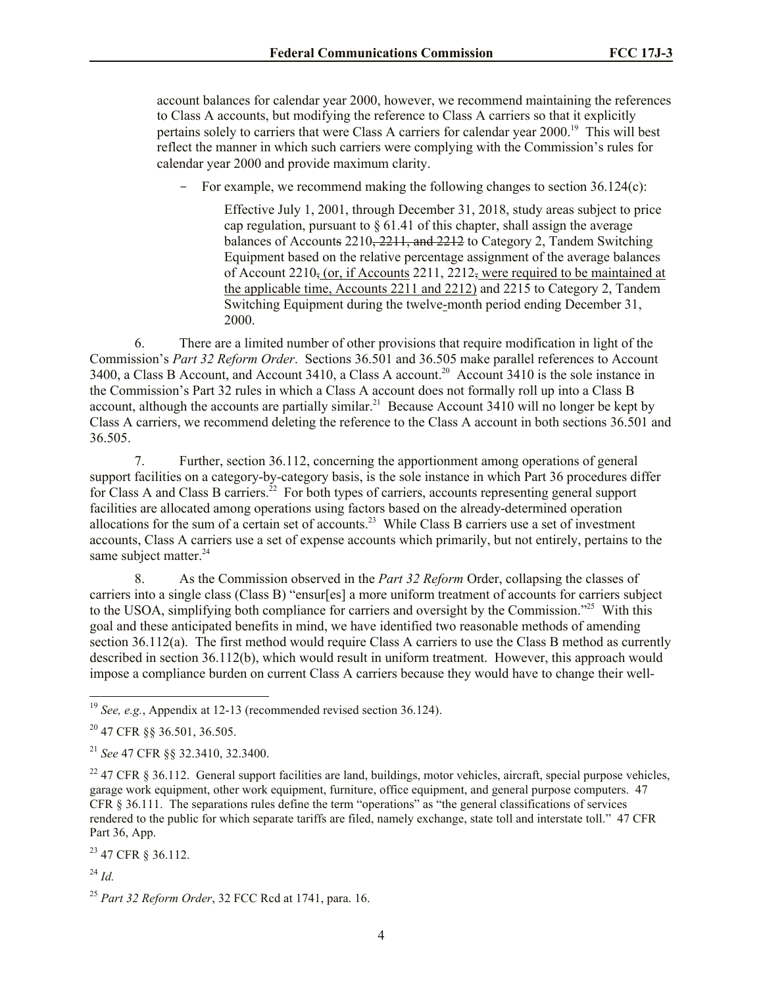account balances for calendar year 2000, however, we recommend maintaining the references to Class A accounts, but modifying the reference to Class A carriers so that it explicitly pertains solely to carriers that were Class A carriers for calendar year 2000.<sup>19</sup> This will best reflect the manner in which such carriers were complying with the Commission's rules for calendar year 2000 and provide maximum clarity.

For example, we recommend making the following changes to section  $36.124(c)$ :

Effective July 1, 2001, through December 31, 2018, study areas subject to price cap regulation, pursuant to  $\S 61.41$  of this chapter, shall assign the average balances of Accounts 2210, 2211, and 2212 to Category 2, Tandem Switching Equipment based on the relative percentage assignment of the average balances of Account 2210, (or, if Accounts 2211, 2212, were required to be maintained at the applicable time, Accounts 2211 and 2212) and 2215 to Category 2, Tandem Switching Equipment during the twelve-month period ending December 31, 2000.

6. There are a limited number of other provisions that require modification in light of the Commission's *Part 32 Reform Order*. Sections 36.501 and 36.505 make parallel references to Account 3400, a Class B Account, and Account 3410, a Class A account.<sup>20</sup> Account 3410 is the sole instance in the Commission's Part 32 rules in which a Class A account does not formally roll up into a Class B account, although the accounts are partially similar.<sup>21</sup> Because Account 3410 will no longer be kept by Class A carriers, we recommend deleting the reference to the Class A account in both sections 36.501 and 36.505.

7. Further, section 36.112, concerning the apportionment among operations of general support facilities on a category-by-category basis, is the sole instance in which Part 36 procedures differ for Class A and Class B carriers.<sup>22</sup> For both types of carriers, accounts representing general support facilities are allocated among operations using factors based on the already-determined operation allocations for the sum of a certain set of accounts.<sup>23</sup> While Class B carriers use a set of investment accounts, Class A carriers use a set of expense accounts which primarily, but not entirely, pertains to the same subject matter.<sup>24</sup>

8. As the Commission observed in the *Part 32 Reform* Order, collapsing the classes of carriers into a single class (Class B) "ensur[es] a more uniform treatment of accounts for carriers subject to the USOA, simplifying both compliance for carriers and oversight by the Commission."<sup>25</sup> With this goal and these anticipated benefits in mind, we have identified two reasonable methods of amending section 36.112(a). The first method would require Class A carriers to use the Class B method as currently described in section 36.112(b), which would result in uniform treatment. However, this approach would impose a compliance burden on current Class A carriers because they would have to change their well-

<sup>23</sup> 47 CFR § 36.112.

<sup>24</sup> *Id.*

l <sup>19</sup> *See, e.g.*, Appendix at 12-13 (recommended revised section 36.124).

<sup>20</sup> 47 CFR §§ 36.501, 36.505.

<sup>21</sup> *See* 47 CFR §§ 32.3410, 32.3400.

<sup>&</sup>lt;sup>22</sup> 47 CFR § 36.112. General support facilities are land, buildings, motor vehicles, aircraft, special purpose vehicles, garage work equipment, other work equipment, furniture, office equipment, and general purpose computers. 47 CFR § 36.111. The separations rules define the term "operations" as "the general classifications of services rendered to the public for which separate tariffs are filed, namely exchange, state toll and interstate toll." 47 CFR Part 36, App.

<sup>25</sup> *Part 32 Reform Order*, 32 FCC Rcd at 1741, para. 16.